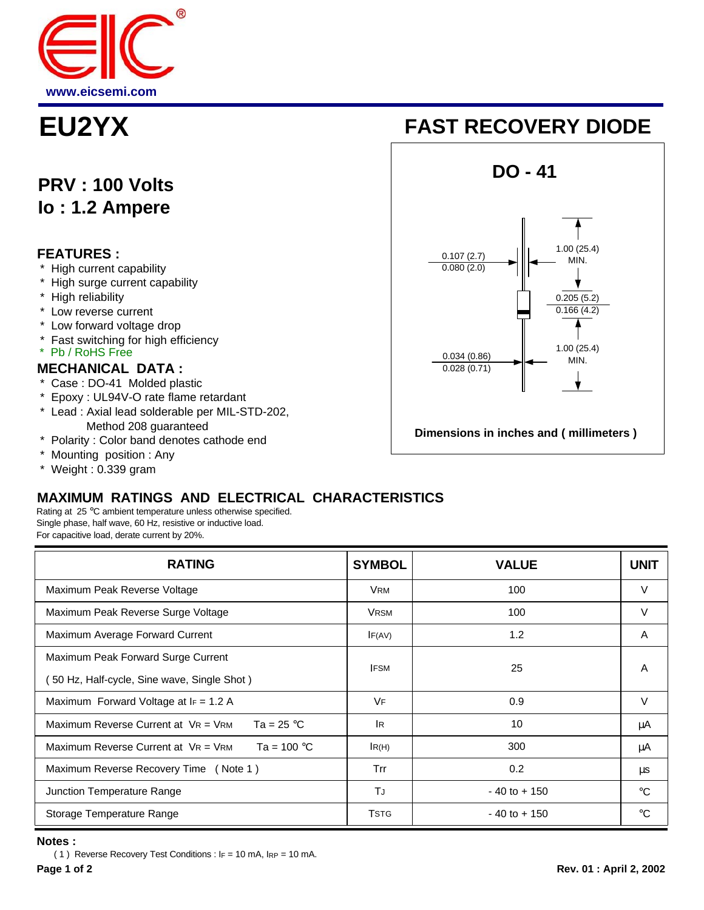

# **PRV : 100 Volts Io : 1.2 Ampere**

## **FEATURES :**

- High current capability
- \* High surge current capability
- \* High reliability
- \* Low reverse current
- \* Low forward voltage drop
- \* Fast switching for high efficiency
- \* Pb / RoHS Free

## **MECHANICAL DATA :**

- Case : DO-41 Molded plastic
- \* Epoxy : UL94V-O rate flame retardant
- \* Lead : Axial lead solderable per MIL-STD-202, Method 208 guaranteed
- \* Polarity : Color band denotes cathode end
- \* Mounting position : Any
- \* Weight : 0.339 gram

# **MAXIMUM RATINGS AND ELECTRICAL CHARACTERISTICS**

Rating at 25 °C ambient temperature unless otherwise specified. Single phase, half wave, 60 Hz, resistive or inductive load. For capacitive load, derate current by 20%.

| <b>RATING</b>                                                      | <b>SYMBOL</b> | <b>VALUE</b>    | <b>UNIT</b> |
|--------------------------------------------------------------------|---------------|-----------------|-------------|
| Maximum Peak Reverse Voltage                                       | <b>VRM</b>    | 100             | V           |
| Maximum Peak Reverse Surge Voltage                                 | <b>VRSM</b>   | 100             | V           |
| Maximum Average Forward Current                                    | IF(AV)        | 1.2             | A           |
| Maximum Peak Forward Surge Current                                 | <b>IFSM</b>   | 25              | A           |
| 50 Hz, Half-cycle, Sine wave, Single Shot)                         |               |                 |             |
| Maximum Forward Voltage at $F = 1.2$ A                             | VF            | 0.9             | V           |
| Maximum Reverse Current at $VR = VRM$<br>Ta = 25 $^{\circ}$ C      | <b>IR</b>     | 10              | μA          |
| Maximum Reverse Current at $V_R = V_{RM}$<br>Ta = 100 $^{\circ}$ C | IR(H)         | 300             | μA          |
| Maximum Reverse Recovery Time (Note 1)                             | Trr           | 0.2             | μs          |
| Junction Temperature Range                                         | TJ            | $-40$ to $+150$ | $^{\circ}C$ |
| Storage Temperature Range                                          | <b>TSTG</b>   | $-40$ to $+150$ | $^{\circ}C$ |

### **Notes :**

( 1 ) Reverse Recovery Test Conditions : IF = 10 mA, IRP = 10 mA.

# **EU2YX FAST RECOVERY DIODE**